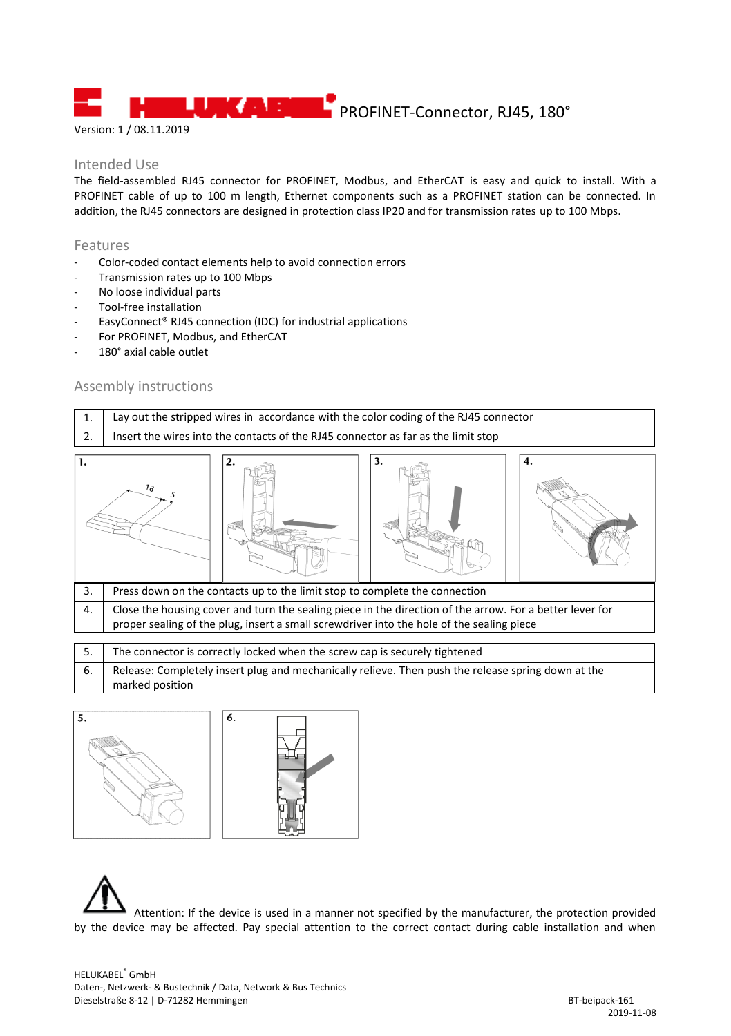**LUBE ASSESSED** PROFINET-Connector, RJ45, 180°

Version: 1 / 08.11.2019

## Intended Use

The field-assembled RJ45 connector for PROFINET, Modbus, and EtherCAT is easy and quick to install. With a PROFINET cable of up to 100 m length, Ethernet components such as a PROFINET station can be connected. In addition, the RJ45 connectors are designed in protection class IP20 and for transmission rates up to 100 Mbps.

## Features

- Color-coded contact elements help to avoid connection errors
- Transmission rates up to 100 Mbps
- No loose individual parts
- Tool-free installation
- EasyConnect® RJ45 connection (IDC) for industrial applications
- For PROFINET, Modbus, and EtherCAT
- 180° axial cable outlet

## Assembly instructions



| 6.   Release: Completely insert plug and mechanically relieve. Then push the release spring down at the |
|---------------------------------------------------------------------------------------------------------|
| marked position                                                                                         |



Attention: If the device is used in a manner not specified by the manufacturer, the protection provided by the device may be affected. Pay special attention to the correct contact during cable installation and when